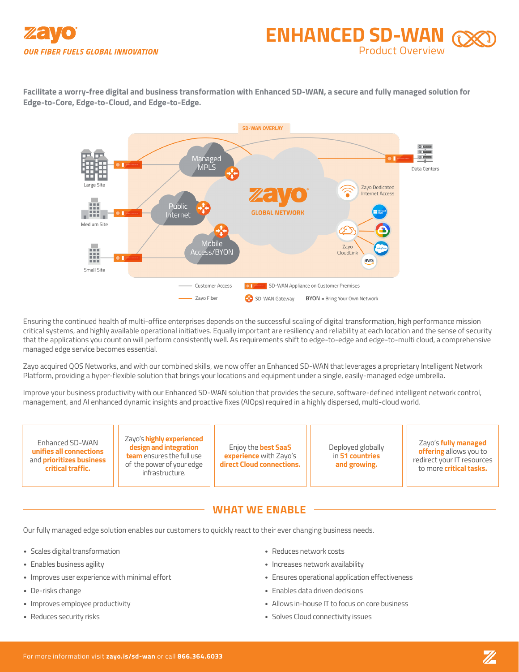



**Facilitate a worry-free digital and business transformation with Enhanced SD-WAN, a secure and fully managed solution for Edge-to-Core, Edge-to-Cloud, and Edge-to-Edge.** 



Ensuring the continued health of multi-office enterprises depends on the successful scaling of digital transformation, high performance mission critical systems, and highly available operational initiatives. Equally important are resiliency and reliability at each location and the sense of security that the applications you count on will perform consistently well. As requirements shift to edge-to-edge and edge-to-multi cloud, a comprehensive managed edge service becomes essential.

Zayo acquired QOS Networks, and with our combined skills, we now offer an Enhanced SD-WAN that leverages a proprietary Intelligent Network Platform, providing a hyper-flexible solution that brings your locations and equipment under a single, easily-managed edge umbrella.

Improve your business productivity with our Enhanced SD-WAN solution that provides the secure, software-defined intelligent network control, management, and AI enhanced dynamic insights and proactive fixes (AIOps) required in a highly dispersed, multi-cloud world.

Enhanced SD-WAN **unifies all connections**  and **prioritizes business critical traffic.**

Zayo's **highly experienced design and integration team** ensures the full use of the power of your edge infrastructure.

Enjoy the **best SaaS experience** with Zayo's **direct Cloud connections.** Deployed globally in **51 countries and growing.**

Zayo's **fully managed offering** allows you to redirect your IT resources to more **critical tasks.**

# **WHAT WE ENABLE**

Our fully managed edge solution enables our customers to quickly react to their ever changing business needs.

- Scales digital transformation
- Enables business agility
- Improves user experience with minimal effort
- De-risks change
- Improves employee productivity
- Reduces security risks
- Reduces network costs
- Increases network availability
- Ensures operational application effectiveness
- Enables data driven decisions
- Allows in-house IT to focus on core business
- Solves Cloud connectivity issues